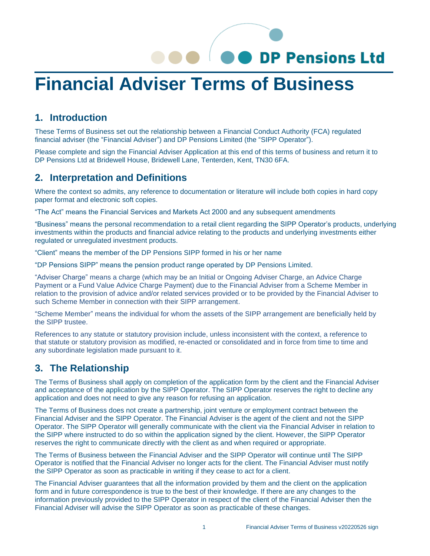# OO DP Pensions Ltd

# **Financial Adviser Terms of Business**

#### **1. Introduction**

These Terms of Business set out the relationship between a Financial Conduct Authority (FCA) regulated financial adviser (the "Financial Adviser") and DP Pensions Limited (the "SIPP Operator").

Please complete and sign the Financial Adviser Application at this end of this terms of business and return it to DP Pensions Ltd at Bridewell House, Bridewell Lane, Tenterden, Kent, TN30 6FA.

#### **2. Interpretation and Definitions**

Where the context so admits, any reference to documentation or literature will include both copies in hard copy paper format and electronic soft copies.

"The Act" means the Financial Services and Markets Act 2000 and any subsequent amendments

"Business" means the personal recommendation to a retail client regarding the SIPP Operator's products, underlying investments within the products and financial advice relating to the products and underlying investments either regulated or unregulated investment products.

"Client" means the member of the DP Pensions SIPP formed in his or her name

"DP Pensions SIPP" means the pension product range operated by DP Pensions Limited.

"Adviser Charge" means a charge (which may be an Initial or Ongoing Adviser Charge, an Advice Charge Payment or a Fund Value Advice Charge Payment) due to the Financial Adviser from a Scheme Member in relation to the provision of advice and/or related services provided or to be provided by the Financial Adviser to such Scheme Member in connection with their SIPP arrangement.

"Scheme Member" means the individual for whom the assets of the SIPP arrangement are beneficially held by the SIPP trustee.

References to any statute or statutory provision include, unless inconsistent with the context, a reference to that statute or statutory provision as modified, re-enacted or consolidated and in force from time to time and any subordinate legislation made pursuant to it.

#### **3. The Relationship**

The Terms of Business shall apply on completion of the application form by the client and the Financial Adviser and acceptance of the application by the SIPP Operator. The SIPP Operator reserves the right to decline any application and does not need to give any reason for refusing an application.

The Terms of Business does not create a partnership, joint venture or employment contract between the Financial Adviser and the SIPP Operator. The Financial Adviser is the agent of the client and not the SIPP Operator. The SIPP Operator will generally communicate with the client via the Financial Adviser in relation to the SIPP where instructed to do so within the application signed by the client. However, the SIPP Operator reserves the right to communicate directly with the client as and when required or appropriate.

The Terms of Business between the Financial Adviser and the SIPP Operator will continue until The SIPP Operator is notified that the Financial Adviser no longer acts for the client. The Financial Adviser must notify the SIPP Operator as soon as practicable in writing if they cease to act for a client.

The Financial Adviser guarantees that all the information provided by them and the client on the application form and in future correspondence is true to the best of their knowledge. If there are any changes to the information previously provided to the SIPP Operator in respect of the client of the Financial Adviser then the Financial Adviser will advise the SIPP Operator as soon as practicable of these changes.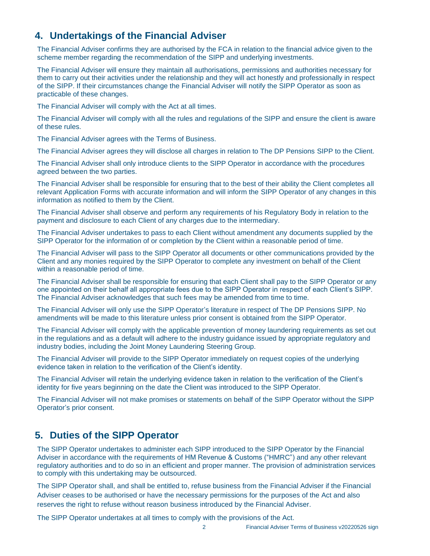#### **4. Undertakings of the Financial Adviser**

The Financial Adviser confirms they are authorised by the FCA in relation to the financial advice given to the scheme member regarding the recommendation of the SIPP and underlying investments.

The Financial Adviser will ensure they maintain all authorisations, permissions and authorities necessary for them to carry out their activities under the relationship and they will act honestly and professionally in respect of the SIPP. If their circumstances change the Financial Adviser will notify the SIPP Operator as soon as practicable of these changes.

The Financial Adviser will comply with the Act at all times.

The Financial Adviser will comply with all the rules and regulations of the SIPP and ensure the client is aware of these rules.

The Financial Adviser agrees with the Terms of Business.

The Financial Adviser agrees they will disclose all charges in relation to The DP Pensions SIPP to the Client.

The Financial Adviser shall only introduce clients to the SIPP Operator in accordance with the procedures agreed between the two parties.

The Financial Adviser shall be responsible for ensuring that to the best of their ability the Client completes all relevant Application Forms with accurate information and will inform the SIPP Operator of any changes in this information as notified to them by the Client.

The Financial Adviser shall observe and perform any requirements of his Regulatory Body in relation to the payment and disclosure to each Client of any charges due to the intermediary.

The Financial Adviser undertakes to pass to each Client without amendment any documents supplied by the SIPP Operator for the information of or completion by the Client within a reasonable period of time.

The Financial Adviser will pass to the SIPP Operator all documents or other communications provided by the Client and any monies required by the SIPP Operator to complete any investment on behalf of the Client within a reasonable period of time.

The Financial Adviser shall be responsible for ensuring that each Client shall pay to the SIPP Operator or any one appointed on their behalf all appropriate fees due to the SIPP Operator in respect of each Client's SIPP. The Financial Adviser acknowledges that such fees may be amended from time to time.

The Financial Adviser will only use the SIPP Operator's literature in respect of The DP Pensions SIPP. No amendments will be made to this literature unless prior consent is obtained from the SIPP Operator.

The Financial Adviser will comply with the applicable prevention of money laundering requirements as set out in the regulations and as a default will adhere to the industry guidance issued by appropriate regulatory and industry bodies, including the Joint Money Laundering Steering Group.

The Financial Adviser will provide to the SIPP Operator immediately on request copies of the underlying evidence taken in relation to the verification of the Client's identity.

The Financial Adviser will retain the underlying evidence taken in relation to the verification of the Client's identity for five years beginning on the date the Client was introduced to the SIPP Operator.

The Financial Adviser will not make promises or statements on behalf of the SIPP Operator without the SIPP Operator's prior consent.

#### **5. Duties of the SIPP Operator**

The SIPP Operator undertakes to administer each SIPP introduced to the SIPP Operator by the Financial Adviser in accordance with the requirements of HM Revenue & Customs ("HMRC") and any other relevant regulatory authorities and to do so in an efficient and proper manner. The provision of administration services to comply with this undertaking may be outsourced.

The SIPP Operator shall, and shall be entitled to, refuse business from the Financial Adviser if the Financial Adviser ceases to be authorised or have the necessary permissions for the purposes of the Act and also reserves the right to refuse without reason business introduced by the Financial Adviser.

The SIPP Operator undertakes at all times to comply with the provisions of the Act.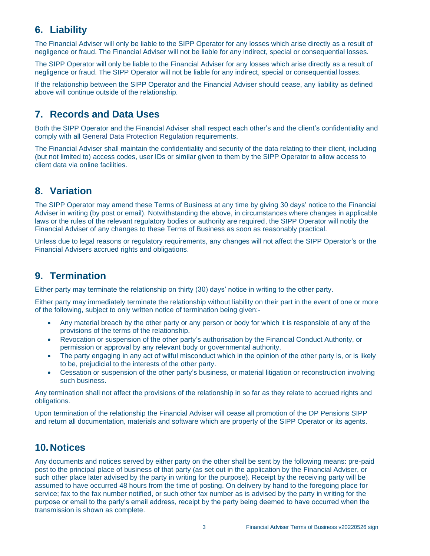#### **6. Liability**

The Financial Adviser will only be liable to the SIPP Operator for any losses which arise directly as a result of negligence or fraud. The Financial Adviser will not be liable for any indirect, special or consequential losses.

The SIPP Operator will only be liable to the Financial Adviser for any losses which arise directly as a result of negligence or fraud. The SIPP Operator will not be liable for any indirect, special or consequential losses.

If the relationship between the SIPP Operator and the Financial Adviser should cease, any liability as defined above will continue outside of the relationship.

### **7. Records and Data Uses**

Both the SIPP Operator and the Financial Adviser shall respect each other's and the client's confidentiality and comply with all General Data Protection Regulation requirements.

The Financial Adviser shall maintain the confidentiality and security of the data relating to their client, including (but not limited to) access codes, user IDs or similar given to them by the SIPP Operator to allow access to client data via online facilities.

#### **8. Variation**

The SIPP Operator may amend these Terms of Business at any time by giving 30 days' notice to the Financial Adviser in writing (by post or email). Notwithstanding the above, in circumstances where changes in applicable laws or the rules of the relevant regulatory bodies or authority are required, the SIPP Operator will notify the Financial Adviser of any changes to these Terms of Business as soon as reasonably practical.

Unless due to legal reasons or regulatory requirements, any changes will not affect the SIPP Operator's or the Financial Advisers accrued rights and obligations.

#### **9. Termination**

Either party may terminate the relationship on thirty (30) days' notice in writing to the other party.

Either party may immediately terminate the relationship without liability on their part in the event of one or more of the following, subject to only written notice of termination being given:-

- Any material breach by the other party or any person or body for which it is responsible of any of the provisions of the terms of the relationship.
- Revocation or suspension of the other party's authorisation by the Financial Conduct Authority, or permission or approval by any relevant body or governmental authority.
- The party engaging in any act of wilful misconduct which in the opinion of the other party is, or is likely to be, prejudicial to the interests of the other party.
- Cessation or suspension of the other party's business, or material litigation or reconstruction involving such business.

Any termination shall not affect the provisions of the relationship in so far as they relate to accrued rights and obligations.

Upon termination of the relationship the Financial Adviser will cease all promotion of the DP Pensions SIPP and return all documentation, materials and software which are property of the SIPP Operator or its agents.

#### **10.Notices**

Any documents and notices served by either party on the other shall be sent by the following means: pre-paid post to the principal place of business of that party (as set out in the application by the Financial Adviser, or such other place later advised by the party in writing for the purpose). Receipt by the receiving party will be assumed to have occurred 48 hours from the time of posting. On delivery by hand to the foregoing place for service; fax to the fax number notified, or such other fax number as is advised by the party in writing for the purpose or email to the party's email address, receipt by the party being deemed to have occurred when the transmission is shown as complete.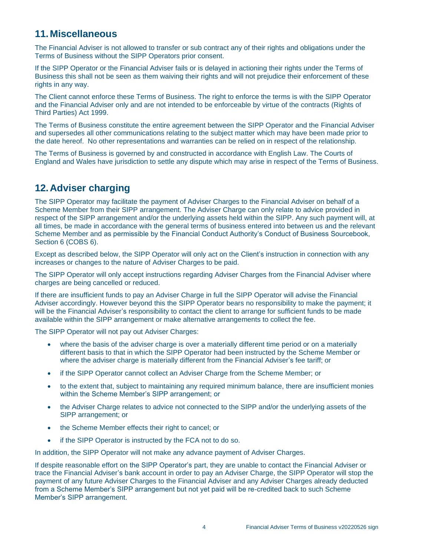#### **11.Miscellaneous**

The Financial Adviser is not allowed to transfer or sub contract any of their rights and obligations under the Terms of Business without the SIPP Operators prior consent.

If the SIPP Operator or the Financial Adviser fails or is delayed in actioning their rights under the Terms of Business this shall not be seen as them waiving their rights and will not prejudice their enforcement of these rights in any way.

The Client cannot enforce these Terms of Business. The right to enforce the terms is with the SIPP Operator and the Financial Adviser only and are not intended to be enforceable by virtue of the contracts (Rights of Third Parties) Act 1999.

The Terms of Business constitute the entire agreement between the SIPP Operator and the Financial Adviser and supersedes all other communications relating to the subject matter which may have been made prior to the date hereof. No other representations and warranties can be relied on in respect of the relationship.

The Terms of Business is governed by and constructed in accordance with English Law. The Courts of England and Wales have jurisdiction to settle any dispute which may arise in respect of the Terms of Business.

### **12.Adviser charging**

The SIPP Operator may facilitate the payment of Adviser Charges to the Financial Adviser on behalf of a Scheme Member from their SIPP arrangement. The Adviser Charge can only relate to advice provided in respect of the SIPP arrangement and/or the underlying assets held within the SIPP. Any such payment will, at all times, be made in accordance with the general terms of business entered into between us and the relevant Scheme Member and as permissible by the Financial Conduct Authority's Conduct of Business Sourcebook, Section 6 (COBS 6).

Except as described below, the SIPP Operator will only act on the Client's instruction in connection with any increases or changes to the nature of Adviser Charges to be paid.

The SIPP Operator will only accept instructions regarding Adviser Charges from the Financial Adviser where charges are being cancelled or reduced.

If there are insufficient funds to pay an Adviser Charge in full the SIPP Operator will advise the Financial Adviser accordingly. However beyond this the SIPP Operator bears no responsibility to make the payment; it will be the Financial Adviser's responsibility to contact the client to arrange for sufficient funds to be made available within the SIPP arrangement or make alternative arrangements to collect the fee.

The SIPP Operator will not pay out Adviser Charges:

- where the basis of the adviser charge is over a materially different time period or on a materially different basis to that in which the SIPP Operator had been instructed by the Scheme Member or where the adviser charge is materially different from the Financial Adviser's fee tariff; or
- if the SIPP Operator cannot collect an Adviser Charge from the Scheme Member; or
- to the extent that, subject to maintaining any required minimum balance, there are insufficient monies within the Scheme Member's SIPP arrangement; or
- the Adviser Charge relates to advice not connected to the SIPP and/or the underlying assets of the SIPP arrangement; or
- the Scheme Member effects their right to cancel; or
- if the SIPP Operator is instructed by the FCA not to do so.

In addition, the SIPP Operator will not make any advance payment of Adviser Charges.

If despite reasonable effort on the SIPP Operator's part, they are unable to contact the Financial Adviser or trace the Financial Adviser's bank account in order to pay an Adviser Charge, the SIPP Operator will stop the payment of any future Adviser Charges to the Financial Adviser and any Adviser Charges already deducted from a Scheme Member's SIPP arrangement but not yet paid will be re-credited back to such Scheme Member's SIPP arrangement.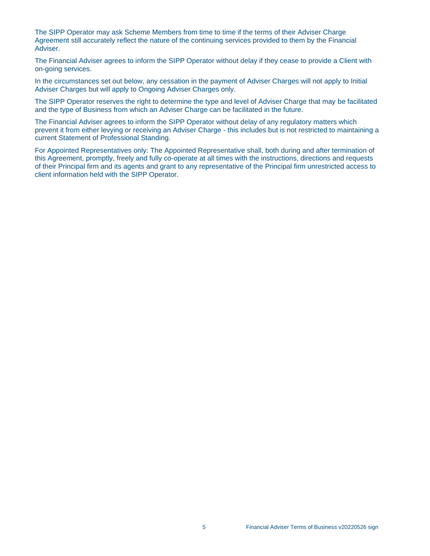The SIPP Operator may ask Scheme Members from time to time if the terms of their Adviser Charge Agreement still accurately reflect the nature of the continuing services provided to them by the Financial Adviser.

The Financial Adviser agrees to inform the SIPP Operator without delay if they cease to provide a Client with on-going services.

In the circumstances set out below, any cessation in the payment of Adviser Charges will not apply to Initial Adviser Charges but will apply to Ongoing Adviser Charges only.

The SIPP Operator reserves the right to determine the type and level of Adviser Charge that may be facilitated and the type of Business from which an Adviser Charge can be facilitated in the future.

The Financial Adviser agrees to inform the SIPP Operator without delay of any regulatory matters which prevent it from either levying or receiving an Adviser Charge - this includes but is not restricted to maintaining a current Statement of Professional Standing.

For Appointed Representatives only: The Appointed Representative shall, both during and after termination of this Agreement, promptly, freely and fully co-operate at all times with the instructions, directions and requests of their Principal firm and its agents and grant to any representative of the Principal firm unrestricted access to client information held with the SIPP Operator.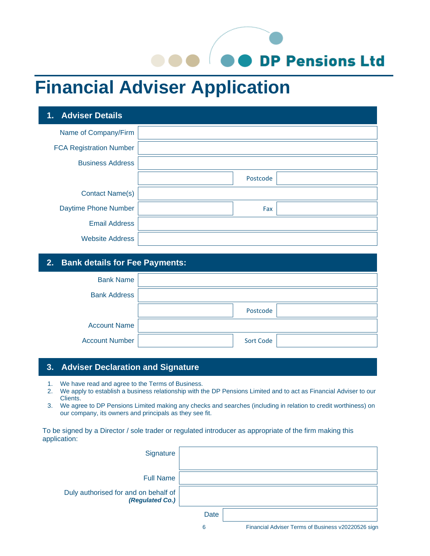O DP Pensions Ltd

## **Financial Adviser Application**

| 1. Adviser Details             |          |  |
|--------------------------------|----------|--|
| Name of Company/Firm           |          |  |
| <b>FCA Registration Number</b> |          |  |
| <b>Business Address</b>        |          |  |
|                                | Postcode |  |
| <b>Contact Name(s)</b>         |          |  |
| Daytime Phone Number           | Fax      |  |
| <b>Email Address</b>           |          |  |
| <b>Website Address</b>         |          |  |

#### **2. Bank details for Fee Payments:**

| <b>Bank Name</b>      |                  |  |
|-----------------------|------------------|--|
| <b>Bank Address</b>   |                  |  |
|                       | Postcode         |  |
| <b>Account Name</b>   |                  |  |
| <b>Account Number</b> | <b>Sort Code</b> |  |

#### **3. Adviser Declaration and Signature**

- 1. We have read and agree to the Terms of Business.
- 2. We apply to establish a business relationship with the DP Pensions Limited and to act as Financial Adviser to our Clients.
- 3. We agree to DP Pensions Limited making any checks and searches (including in relation to credit worthiness) on our company, its owners and principals as they see fit.

To be signed by a Director / sole trader or regulated introducer as appropriate of the firm making this application:

| Signature                                               |      |                                                    |
|---------------------------------------------------------|------|----------------------------------------------------|
| <b>Full Name</b>                                        |      |                                                    |
| Duly authorised for and on behalf of<br>(Regulated Co.) |      |                                                    |
|                                                         | Date |                                                    |
|                                                         | 6    | Financial Adviser Terms of Business v20220526 sign |